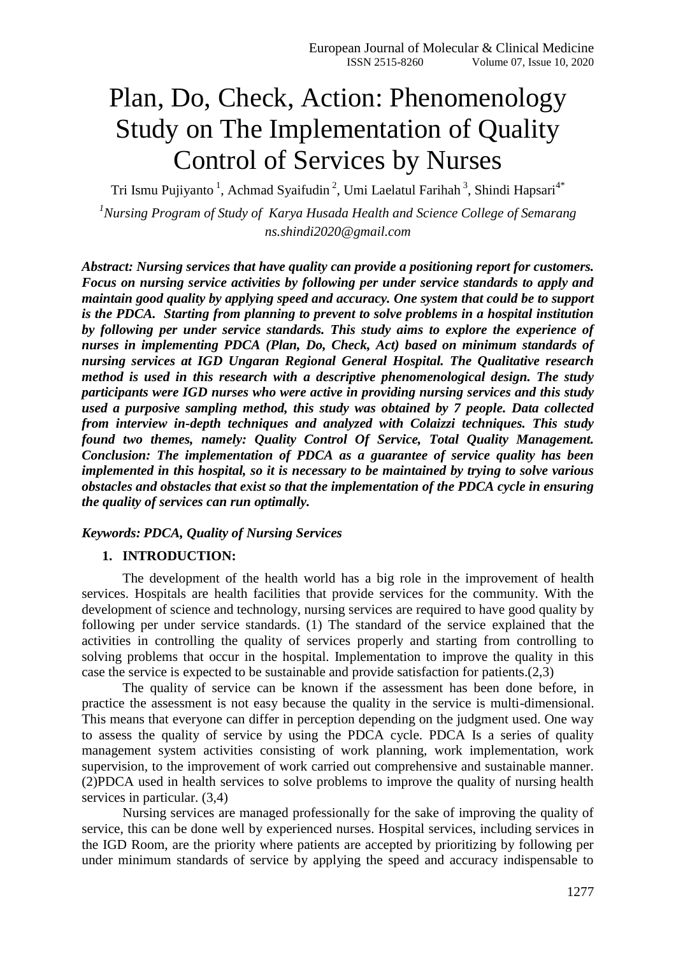# Plan, Do, Check, Action: Phenomenology Study on The Implementation of Quality Control of Services by Nurses

Tri Ismu Pujiyanto<sup>1</sup>, Achmad Syaifudin<sup>2</sup>, Umi Laelatul Farihah<sup>3</sup>, Shindi Hapsari<sup>4\*</sup> *<sup>1</sup>Nursing Program of Study of Karya Husada Health and Science College of Semarang ns.shindi2020@gmail.com*

*Abstract: Nursing services that have quality can provide a positioning report for customers. Focus on nursing service activities by following per under service standards to apply and maintain good quality by applying speed and accuracy. One system that could be to support is the PDCA. Starting from planning to prevent to solve problems in a hospital institution by following per under service standards. This study aims to explore the experience of nurses in implementing PDCA (Plan, Do, Check, Act) based on minimum standards of nursing services at IGD Ungaran Regional General Hospital. The Qualitative research method is used in this research with a descriptive phenomenological design. The study participants were IGD nurses who were active in providing nursing services and this study used a purposive sampling method, this study was obtained by 7 people. Data collected from interview in-depth techniques and analyzed with Colaizzi techniques. This study found two themes, namely: Quality Control Of Service, Total Quality Management. Conclusion: The implementation of PDCA as a guarantee of service quality has been implemented in this hospital, so it is necessary to be maintained by trying to solve various obstacles and obstacles that exist so that the implementation of the PDCA cycle in ensuring the quality of services can run optimally.*

### *Keywords: PDCA, Quality of Nursing Services*

#### **1. INTRODUCTION:**

The development of the health world has a big role in the improvement of health services. Hospitals are health facilities that provide services for the community. With the development of science and technology, nursing services are required to have good quality by following per under service standards. (1) The standard of the service explained that the activities in controlling the quality of services properly and starting from controlling to solving problems that occur in the hospital. Implementation to improve the quality in this case the service is expected to be sustainable and provide satisfaction for patients.(2,3)

The quality of service can be known if the assessment has been done before, in practice the assessment is not easy because the quality in the service is multi-dimensional. This means that everyone can differ in perception depending on the judgment used. One way to assess the quality of service by using the PDCA cycle. PDCA Is a series of quality management system activities consisting of work planning, work implementation, work supervision, to the improvement of work carried out comprehensive and sustainable manner. (2)PDCA used in health services to solve problems to improve the quality of nursing health services in particular. (3,4)

Nursing services are managed professionally for the sake of improving the quality of service, this can be done well by experienced nurses. Hospital services, including services in the IGD Room, are the priority where patients are accepted by prioritizing by following per under minimum standards of service by applying the speed and accuracy indispensable to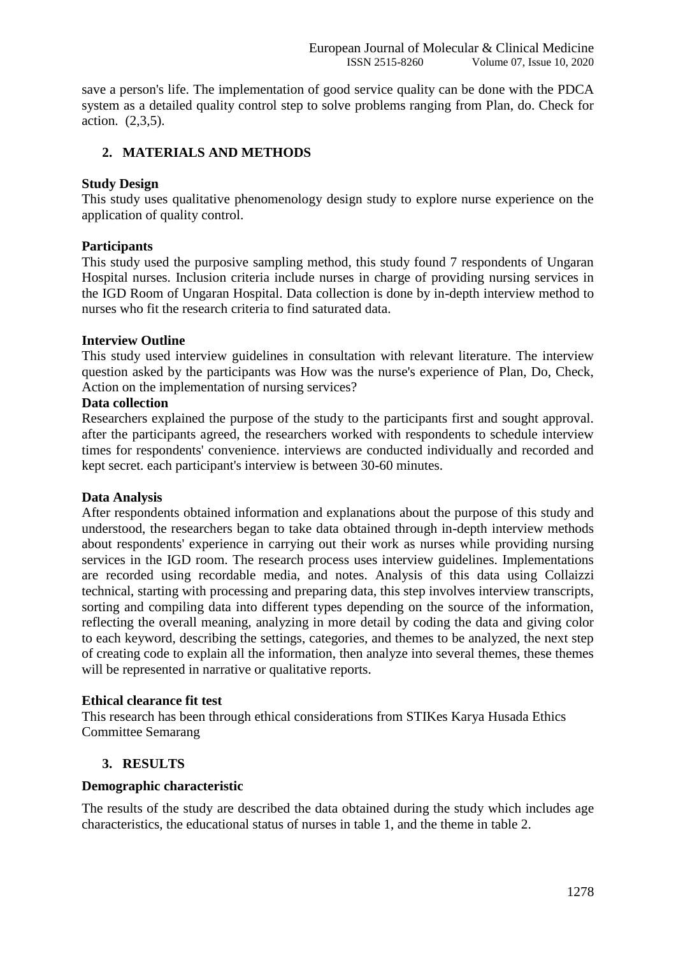save a person's life. The implementation of good service quality can be done with the PDCA system as a detailed quality control step to solve problems ranging from Plan, do. Check for action. (2,3,5).

## **2. MATERIALS AND METHODS**

#### **Study Design**

This study uses qualitative phenomenology design study to explore nurse experience on the application of quality control.

#### **Participants**

This study used the purposive sampling method, this study found 7 respondents of Ungaran Hospital nurses. Inclusion criteria include nurses in charge of providing nursing services in the IGD Room of Ungaran Hospital. Data collection is done by in-depth interview method to nurses who fit the research criteria to find saturated data.

#### **Interview Outline**

This study used interview guidelines in consultation with relevant literature. The interview question asked by the participants was How was the nurse's experience of Plan, Do, Check, Action on the implementation of nursing services?

#### **Data collection**

Researchers explained the purpose of the study to the participants first and sought approval. after the participants agreed, the researchers worked with respondents to schedule interview times for respondents' convenience. interviews are conducted individually and recorded and kept secret. each participant's interview is between 30-60 minutes.

#### **Data Analysis**

After respondents obtained information and explanations about the purpose of this study and understood, the researchers began to take data obtained through in-depth interview methods about respondents' experience in carrying out their work as nurses while providing nursing services in the IGD room. The research process uses interview guidelines. Implementations are recorded using recordable media, and notes. Analysis of this data using Collaizzi technical, starting with processing and preparing data, this step involves interview transcripts, sorting and compiling data into different types depending on the source of the information, reflecting the overall meaning, analyzing in more detail by coding the data and giving color to each keyword, describing the settings, categories, and themes to be analyzed, the next step of creating code to explain all the information, then analyze into several themes, these themes will be represented in narrative or qualitative reports.

#### **Ethical clearance fit test**

This research has been through ethical considerations from STIKes Karya Husada Ethics Committee Semarang

#### **3. RESULTS**

#### **Demographic characteristic**

The results of the study are described the data obtained during the study which includes age characteristics, the educational status of nurses in table 1, and the theme in table 2.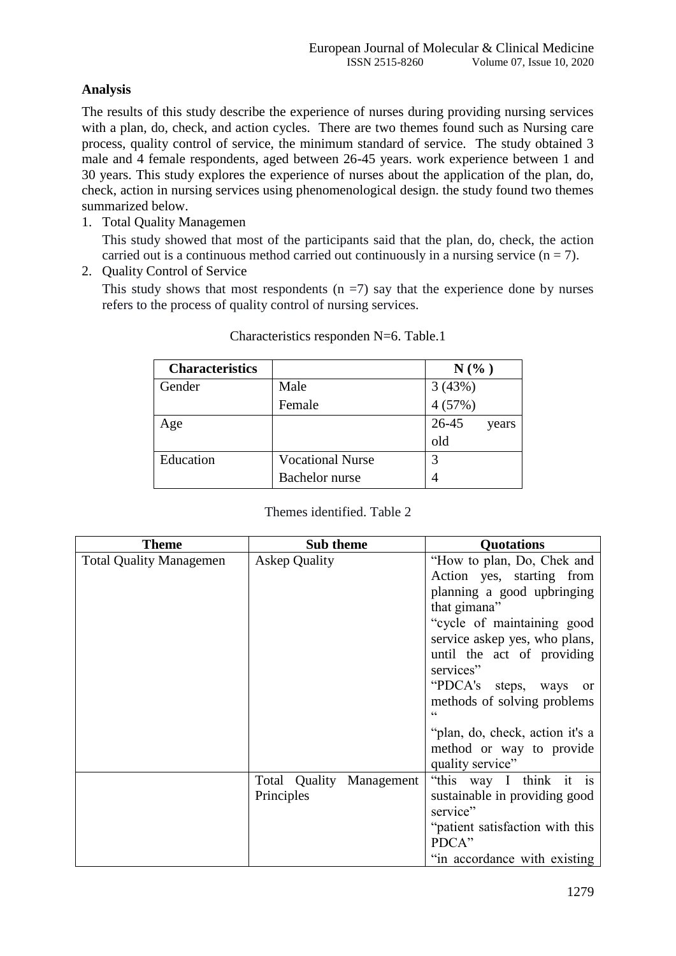# **Analysis**

The results of this study describe the experience of nurses during providing nursing services with a plan, do, check, and action cycles. There are two themes found such as Nursing care process, quality control of service, the minimum standard of service. The study obtained 3 male and 4 female respondents, aged between 26-45 years. work experience between 1 and 30 years. This study explores the experience of nurses about the application of the plan, do, check, action in nursing services using phenomenological design. the study found two themes summarized below.

1. Total Quality Managemen

This study showed that most of the participants said that the plan, do, check, the action carried out is a continuous method carried out continuously in a nursing service  $(n = 7)$ .

2. Quality Control of Service

This study shows that most respondents  $(n = 7)$  say that the experience done by nurses refers to the process of quality control of nursing services.

| <b>Characteristics</b> |                         | $N$ (%)        |
|------------------------|-------------------------|----------------|
| Gender                 | Male                    | 3(43%)         |
|                        | Female                  | 4(57%)         |
| Age                    |                         | 26-45<br>years |
|                        |                         | old            |
| Education              | <b>Vocational Nurse</b> | 3              |
|                        | <b>Bachelor</b> nurse   | 4              |

| Theme                          | Sub theme                | <b>Quotations</b>                    |
|--------------------------------|--------------------------|--------------------------------------|
| <b>Total Quality Managemen</b> | <b>Askep Quality</b>     | "How to plan, Do, Chek and           |
|                                |                          | Action yes, starting from            |
|                                |                          | planning a good upbringing           |
|                                |                          | that gimana"                         |
|                                |                          | "cycle of maintaining good           |
|                                |                          | service askep yes, who plans,        |
|                                |                          | until the act of providing           |
|                                |                          | services"                            |
|                                |                          | "PDCA's steps, ways<br><sub>or</sub> |
|                                |                          | methods of solving problems          |
|                                |                          | $\epsilon$                           |
|                                |                          | "plan, do, check, action it's a      |
|                                |                          | method or way to provide             |
|                                |                          | quality service"                     |
|                                | Total Quality Management | "this way I think it is              |
|                                | Principles               | sustainable in providing good        |
|                                |                          | service"                             |
|                                |                          | "patient satisfaction with this      |
|                                |                          | PDCA"                                |
|                                |                          | "in accordance with existing         |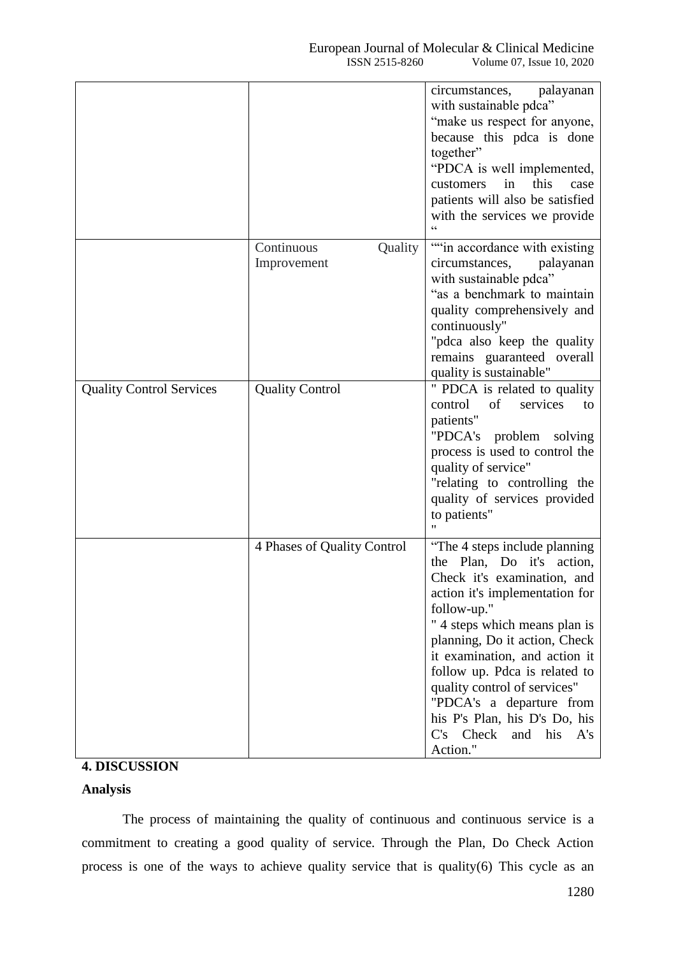|                                 |                                      | circumstances, palayanan<br>with sustainable pdca"<br>"make us respect for anyone,<br>because this pdca is done<br>together"<br>"PDCA is well implemented,<br>this<br>in<br>customers<br>case<br>patients will also be satisfied<br>with the services we provide                                                                                                                                                           |
|---------------------------------|--------------------------------------|----------------------------------------------------------------------------------------------------------------------------------------------------------------------------------------------------------------------------------------------------------------------------------------------------------------------------------------------------------------------------------------------------------------------------|
|                                 | Continuous<br>Quality<br>Improvement | "in accordance with existing<br>circumstances,<br>palayanan<br>with sustainable pdca"<br>"as a benchmark to maintain<br>quality comprehensively and<br>continuously"<br>"pdca also keep the quality<br>remains guaranteed overall<br>quality is sustainable"                                                                                                                                                               |
| <b>Quality Control Services</b> | <b>Quality Control</b>               | " PDCA is related to quality<br>of<br>control<br>services<br>to<br>patients"<br>"PDCA's problem solving<br>process is used to control the<br>quality of service"<br>"relating to controlling the<br>quality of services provided<br>to patients"<br>Ħ                                                                                                                                                                      |
|                                 | 4 Phases of Quality Control          | "The 4 steps include planning"<br>the Plan, Do it's action,<br>Check it's examination, and<br>action it's implementation for<br>follow-up."<br>" 4 steps which means plan is<br>planning, Do it action, Check<br>it examination, and action it<br>follow up. Pdca is related to<br>quality control of services"<br>"PDCA's a departure from<br>his P's Plan, his D's Do, his<br>C's Check<br>and<br>his<br>A's<br>Action." |

# **4. DISCUSSION**

# **Analysis**

The process of maintaining the quality of continuous and continuous service is a commitment to creating a good quality of service. Through the Plan, Do Check Action process is one of the ways to achieve quality service that is quality(6) This cycle as an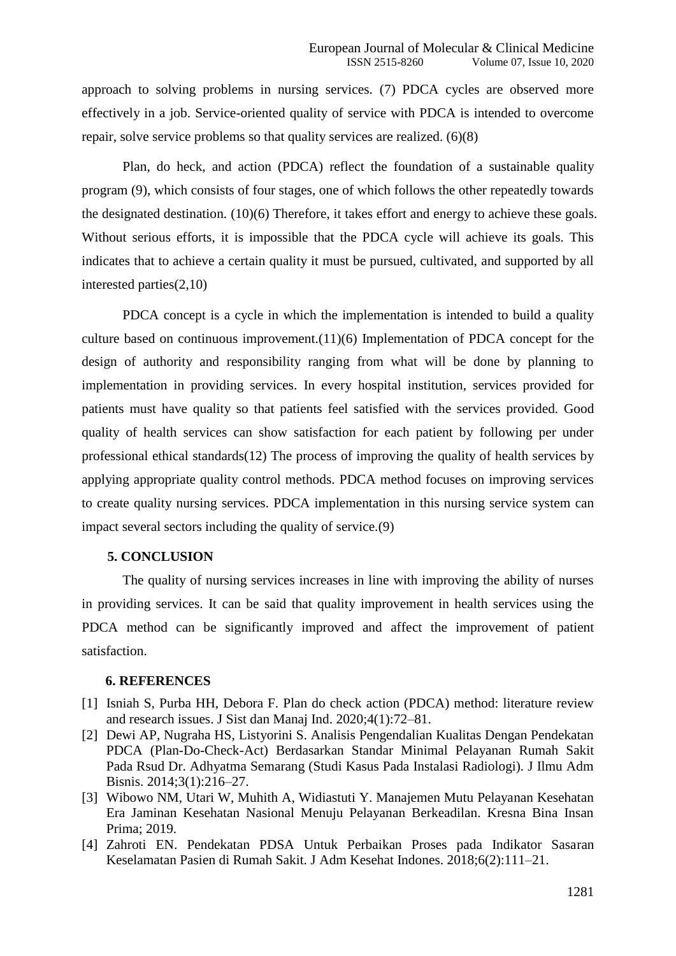approach to solving problems in nursing services. (7) PDCA cycles are observed more effectively in a job. Service-oriented quality of service with PDCA is intended to overcome repair, solve service problems so that quality services are realized. (6)(8)

Plan, do heck, and action (PDCA) reflect the foundation of a sustainable quality program (9), which consists of four stages, one of which follows the other repeatedly towards the designated destination. (10)(6) Therefore, it takes effort and energy to achieve these goals. Without serious efforts, it is impossible that the PDCA cycle will achieve its goals. This indicates that to achieve a certain quality it must be pursued, cultivated, and supported by all interested parties(2,10)

PDCA concept is a cycle in which the implementation is intended to build a quality culture based on continuous improvement.(11)(6) Implementation of PDCA concept for the design of authority and responsibility ranging from what will be done by planning to implementation in providing services. In every hospital institution, services provided for patients must have quality so that patients feel satisfied with the services provided. Good quality of health services can show satisfaction for each patient by following per under professional ethical standards $(12)$  The process of improving the quality of health services by applying appropriate quality control methods. PDCA method focuses on improving services to create quality nursing services. PDCA implementation in this nursing service system can impact several sectors including the quality of service.(9)

#### **5. CONCLUSION**

The quality of nursing services increases in line with improving the ability of nurses in providing services. It can be said that quality improvement in health services using the PDCA method can be significantly improved and affect the improvement of patient satisfaction.

#### **6. REFERENCES**

- [1] Isniah S, Purba HH, Debora F. Plan do check action (PDCA) method: literature review and research issues. J Sist dan Manaj Ind. 2020;4(1):72–81.
- [2] Dewi AP, Nugraha HS, Listyorini S. Analisis Pengendalian Kualitas Dengan Pendekatan PDCA (Plan-Do-Check-Act) Berdasarkan Standar Minimal Pelayanan Rumah Sakit Pada Rsud Dr. Adhyatma Semarang (Studi Kasus Pada Instalasi Radiologi). J Ilmu Adm Bisnis. 2014;3(1):216–27.
- [3] Wibowo NM, Utari W, Muhith A, Widiastuti Y. Manajemen Mutu Pelayanan Kesehatan Era Jaminan Kesehatan Nasional Menuju Pelayanan Berkeadilan. Kresna Bina Insan Prima; 2019.
- [4] Zahroti EN. Pendekatan PDSA Untuk Perbaikan Proses pada Indikator Sasaran Keselamatan Pasien di Rumah Sakit. J Adm Kesehat Indones. 2018;6(2):111–21.